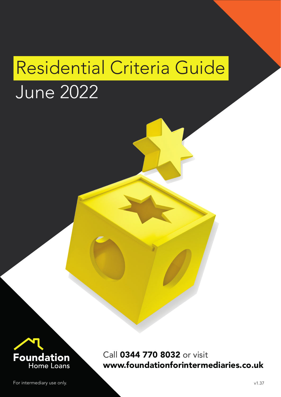# Residential Criteria Guide

# June 2022



Call 0344 770 8032 or visit www.foundationforintermediaries.co.uk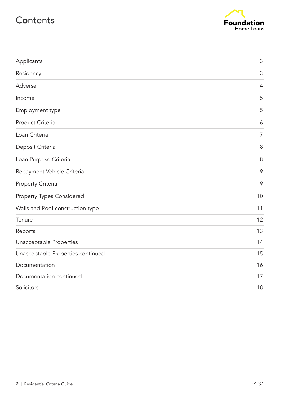### **Contents**



| Applicants                        | $\mathsf 3$    |
|-----------------------------------|----------------|
| Residency                         | 3              |
| Adverse                           | $\overline{4}$ |
| Income                            | 5              |
| Employment type                   | 5              |
| Product Criteria                  | 6              |
| Loan Criteria                     | $\overline{7}$ |
| Deposit Criteria                  | 8              |
| Loan Purpose Criteria             | 8              |
| Repayment Vehicle Criteria        | 9              |
| Property Criteria                 | 9              |
| <b>Property Types Considered</b>  | 10             |
| Walls and Roof construction type  | 11             |
| Tenure                            | 12             |
| Reports                           | 13             |
| Unacceptable Properties           | 14             |
| Unacceptable Properties continued | 15             |
| Documentation                     | 16             |
| Documentation continued           | 17             |
| Solicitors                        | 18             |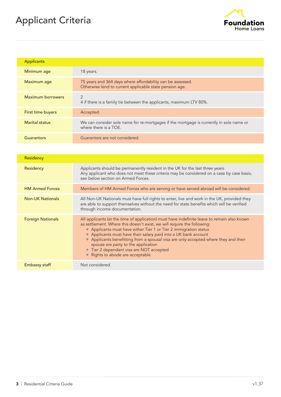# Applicant Criteria



| <b>Applicants</b> |                                                                                                                       |
|-------------------|-----------------------------------------------------------------------------------------------------------------------|
| Minimum age       | 18 years.                                                                                                             |
| Maximum age       | 75 years and 364 days where affordability can be assessed.<br>Otherwise lend to current applicable state pension age. |
| Maximum borrowers | 2<br>4 if there is a family tie between the applicants, maximum LTV 80%.                                              |
| First time buyers | Accepted.                                                                                                             |
| Marital status    | We can consider sole name for re-mortgages if the mortgage is currently in sole name or<br>where there is a TOE.      |
| Guarantors        | Guarantors are not considered.                                                                                        |

| Residency                |                                                                                                                                                                                                                                                                                                                                                                                                                                                                                                                              |
|--------------------------|------------------------------------------------------------------------------------------------------------------------------------------------------------------------------------------------------------------------------------------------------------------------------------------------------------------------------------------------------------------------------------------------------------------------------------------------------------------------------------------------------------------------------|
| Residency                | Applicants should be permanently resident in the UK for the last three years.<br>Any applicant who does not meet these criteria may be considered on a case by case basis,<br>see below section on Armed Forces.                                                                                                                                                                                                                                                                                                             |
| <b>HM Armed Forces</b>   | Members of HM Armed Forces who are serving or have served abroad will be considered.                                                                                                                                                                                                                                                                                                                                                                                                                                         |
| <b>Non-UK Nationals</b>  | All Non-UK Nationals must have full rights to enter, live and work in the UK, provided they<br>are able to support themselves without the need for state benefits which will be verified<br>through income documentation.                                                                                                                                                                                                                                                                                                    |
| <b>Foreign Nationals</b> | All applicants (at the time of application) must have indefinite leave to remain also known<br>as settlement. Where this doesn't exist, we will require the following:<br>• Applicants must have either Tier 1 or Tier 2 immigration status<br>• Applicants must have their salary paid into a UK bank account<br>• Applicants benefitting from a spousal visa are only accepted where they and their<br>spouse are party to the application<br>• Tier 2 dependant visa are NOT accepted<br>• Rights to abode are acceptable |
| Embassy staff            | Not considered.                                                                                                                                                                                                                                                                                                                                                                                                                                                                                                              |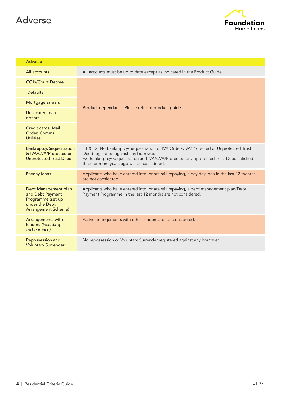## Adverse



| <b>Adverse</b>                                                                                                |                                                                                                                                                                                                                                                                        |
|---------------------------------------------------------------------------------------------------------------|------------------------------------------------------------------------------------------------------------------------------------------------------------------------------------------------------------------------------------------------------------------------|
| All accounts                                                                                                  | All accounts must be up to date except as indicated in the Product Guide.                                                                                                                                                                                              |
| <b>CCJs/Court Decree</b>                                                                                      | Product dependant - Please refer to product guide.                                                                                                                                                                                                                     |
| <b>Defaults</b>                                                                                               |                                                                                                                                                                                                                                                                        |
| Mortgage arrears                                                                                              |                                                                                                                                                                                                                                                                        |
| Unsecured loan<br>arrears                                                                                     |                                                                                                                                                                                                                                                                        |
| Credit cards, Mail<br>Order, Comms,<br><b>Utilities</b>                                                       |                                                                                                                                                                                                                                                                        |
| <b>Bankruptcy/Sequestration</b><br>& IVA/CVA/Protected or<br><b>Unprotected Trust Deed</b>                    | F1 & F2: No Bankruptcy/Sequestration or IVA Order/CVA/Protected or Unprotected Trust<br>Deed registered against any borrower.<br>F3: Bankruptcy/Sequestration and IVA/CVA/Protected or Unprotected Trust Deed satisfied<br>three or more years ago will be considered. |
| Payday loans                                                                                                  | Applicants who have entered into, or are still repaying, a pay day loan in the last 12 months<br>are not considered.                                                                                                                                                   |
| Debt Management plan<br>and Debt Payment<br>Programme (set up<br>under the Debt<br><b>Arrangement Scheme)</b> | Applicants who have entered into, or are still repaying, a debt management plan/Debt<br>Payment Programme in the last 12 months are not considered.                                                                                                                    |
| Arrangements with<br>lenders (including<br>forbearance)                                                       | Active arrangements with other lenders are not considered.                                                                                                                                                                                                             |
| Repossession and<br><b>Voluntary Surrender</b>                                                                | No repossession or Voluntary Surrender registered against any borrower.                                                                                                                                                                                                |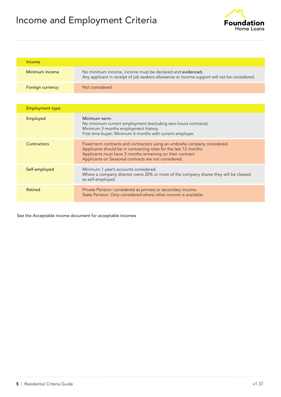# Income and Employment Criteria



| Income           |                                                                                                                                                          |
|------------------|----------------------------------------------------------------------------------------------------------------------------------------------------------|
| Minimum income   | No minimum income, income must be declared and evidenced.<br>Any applicant in receipt of job seekers allowance or income support will not be considered. |
| Foreign currency | Not considered.                                                                                                                                          |

| <b>Employment type</b> |                                                                                                                                                                                                                                                                       |
|------------------------|-----------------------------------------------------------------------------------------------------------------------------------------------------------------------------------------------------------------------------------------------------------------------|
| Employed               | Minimum term:<br>No minimum current employment (excluding zero hours contracts).<br>Minimum 3 months employment history.<br>First time buyer: Minimum 6 months with current employer.                                                                                 |
| Contractors            | Fixed term contracts and contractors using an umbrella company considered.<br>Applicants should be in contracting roles for the last 12 months.<br>Applicants must have 3 months remaining on their contract.<br>Applicants on Seasonal contracts are not considered. |
| Self-employed          | Minimum 1 year's accounts considered.<br>Where a company director owns 20% or more of the company shares they will be classed<br>as self-employed.                                                                                                                    |
| <b>Retired</b>         | Private Pension: considered as primary or secondary income.<br>State Pension: Only considered where other income is available.                                                                                                                                        |

See the Acceptable income document for acceptable incomes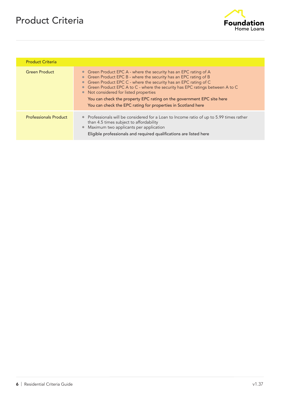# Product Criteria



| <b>Product Criteria</b>      |                                                                                                                                                                                                                                                                                                                                                                                                                                                                                |
|------------------------------|--------------------------------------------------------------------------------------------------------------------------------------------------------------------------------------------------------------------------------------------------------------------------------------------------------------------------------------------------------------------------------------------------------------------------------------------------------------------------------|
| <b>Green Product</b>         | • Green Product EPC A - where the security has an EPC rating of A<br>• Green Product EPC B - where the security has an EPC rating of B<br>Green Product EPC C - where the security has an EPC rating of C<br>• Green Product EPC A to C - where the security has EPC ratings between A to C<br>• Not considered for listed properties<br>You can check the property EPC rating on the government EPC site here<br>You can check the EPC rating for properties in Scotland here |
| <b>Professionals Product</b> | • Professionals will be considered for a Loan to Income ratio of up to 5.99 times rather<br>than 4.5 times subject to affordability<br>Maximum two applicants per application<br>Eligible professionals and required qualifications are listed here                                                                                                                                                                                                                            |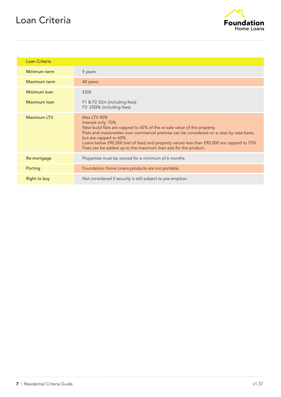# Loan Criteria



| Loan Criteria       |                                                                                                                                                                                                                                                                                                                                                                                                           |
|---------------------|-----------------------------------------------------------------------------------------------------------------------------------------------------------------------------------------------------------------------------------------------------------------------------------------------------------------------------------------------------------------------------------------------------------|
| Minimum term        | 5 years.                                                                                                                                                                                                                                                                                                                                                                                                  |
| Maximum term        | 40 years.                                                                                                                                                                                                                                                                                                                                                                                                 |
| Minimum Ioan        | £50k                                                                                                                                                                                                                                                                                                                                                                                                      |
| Maximum loan        | F1 & F2 £2m (including fees)<br>F3: £500k (including fees)                                                                                                                                                                                                                                                                                                                                                |
| <b>Maximum LTV</b>  | <b>Max LTV 90%</b><br>Interest only: 70%<br>New build flats are capped to 65% of the re-sale value of the property.<br>Flats and maisonettes over commercial premise can be considered on a case by case basis,<br>but are capped to 60%.<br>Loans below £90,000 (net of fees) and property values less than £90,000 are capped to 75%.<br>Fees can be added up to the maximum loan size for the product. |
| Re-mortgage         | Properties must be owned for a minimum of 6 months.                                                                                                                                                                                                                                                                                                                                                       |
| Porting             | Foundation Home Loans products are not portable.                                                                                                                                                                                                                                                                                                                                                          |
| <b>Right to buy</b> | Not considered if security is still subject to pre-emption.                                                                                                                                                                                                                                                                                                                                               |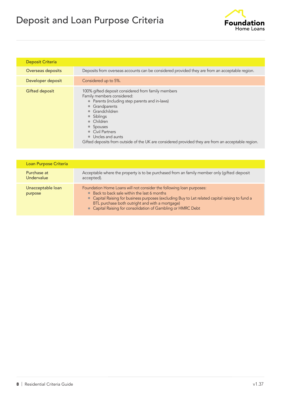# Deposit and Loan Purpose Criteria



| <b>Deposit Criteria</b> |                                                                                                                                                                                                                                                                                                                                                                                                          |
|-------------------------|----------------------------------------------------------------------------------------------------------------------------------------------------------------------------------------------------------------------------------------------------------------------------------------------------------------------------------------------------------------------------------------------------------|
| Overseas deposits       | Deposits from overseas accounts can be considered provided they are from an acceptable region.                                                                                                                                                                                                                                                                                                           |
| Developer deposit       | Considered up to 5%.                                                                                                                                                                                                                                                                                                                                                                                     |
| Gifted deposit          | 100% gifted deposit considered from family members<br>Family members considered:<br>• Parents (including step parents and in-laws)<br>• Grandparents<br>Grandchildren<br>$\bullet$<br>• Siblings<br>• Children<br>• Spouses<br><b>Civil Partners</b><br>$\bullet$<br>Uncles and aunts<br>$\bullet$<br>Gifted deposits from outside of the UK are considered provided they are from an acceptable region. |

| Loan Purpose Criteria        |                                                                                                                                                                                                                                                                                                                                            |
|------------------------------|--------------------------------------------------------------------------------------------------------------------------------------------------------------------------------------------------------------------------------------------------------------------------------------------------------------------------------------------|
| Purchase at<br>Undervalue    | Acceptable where the property is to be purchased from an family member only (gifted deposit<br>accepted).                                                                                                                                                                                                                                  |
| Unacceptable loan<br>purpose | Foundation Home Loans will not consider the following loan purposes:<br>• Back to back sale within the last 6 months<br>• Capital Raising for business purposes (excluding Buy to Let related capital raising to fund a<br>BTL purchase both outright and with a mortgage)<br>• Capital Raising for consolidation of Gambling or HMRC Debt |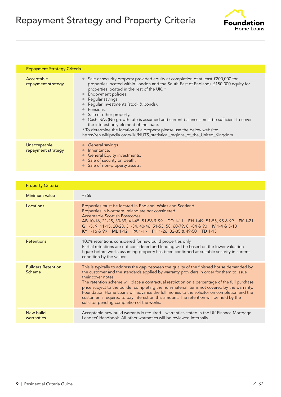# Repayment Strategy and Property Criteria



| <b>Repayment Strategy Criteria</b> |                                                                                                                                                                                                                                                                                                                                                                                                                                                                                                                                                                                                                                                                                          |
|------------------------------------|------------------------------------------------------------------------------------------------------------------------------------------------------------------------------------------------------------------------------------------------------------------------------------------------------------------------------------------------------------------------------------------------------------------------------------------------------------------------------------------------------------------------------------------------------------------------------------------------------------------------------------------------------------------------------------------|
| Acceptable<br>repayment strategy   | Sale of security property provided equity at completion of at least £200,000 for<br>$\bullet$<br>properties located within London and the South East of England). £150,000 equity for<br>properties located in the rest of the UK. *<br>Endowment policies.<br>Regular savings.<br>Regular Investments (stock & bonds).<br>Pensions.<br>Sale of other property.<br>$\bullet$<br>Cash ISAs (No growth rate is assumed and current balances must be sufficient to cover<br>$\bullet$<br>the interest only element of the loan).<br>* To determine the location of a property please use the below website:<br>https://en.wikipedia.org/wiki/NUTS_statistical_regions_of_the_United_Kingdom |
| Unacceptable<br>repayment strategy | • General savings.<br>Inheritance.<br>• General Equity investments.<br>Sale of security on death.<br>$\bullet$<br>Sale of non-property assets.                                                                                                                                                                                                                                                                                                                                                                                                                                                                                                                                           |

| <b>Property Criteria</b>            |                                                                                                                                                                                                                                                                                                                                                                                                                                                                                                                                                                                                                                                   |
|-------------------------------------|---------------------------------------------------------------------------------------------------------------------------------------------------------------------------------------------------------------------------------------------------------------------------------------------------------------------------------------------------------------------------------------------------------------------------------------------------------------------------------------------------------------------------------------------------------------------------------------------------------------------------------------------------|
| Minimum value                       | £75k                                                                                                                                                                                                                                                                                                                                                                                                                                                                                                                                                                                                                                              |
| Locations                           | Properties must be located in England, Wales and Scotland.<br>Properties in Northern Ireland are not considered.<br>Acceptable Scottish Postcodes:<br>AB 10-16, 21-25, 30-39, 41-45, 51-56 & 99 DD 1-11 EH 1-49, 51-55, 95 & 99 FK 1-21<br>G 1-5, 9, 11-15, 20-23, 31-34, 40-46, 51-53, 58, 60-79, 81-84 & 90 IV 1-4 & 5-18<br>KY 1-16 & 99 ML 1-12 PA 1-19 PH 1-26, 32-35 & 49-50 TD 1-15                                                                                                                                                                                                                                                        |
| <b>Retentions</b>                   | 100% retentions considered for new build properties only.<br>Partial retentions are not considered and lending will be based on the lower valuation<br>figure before works assuming property has been confirmed as suitable security in current<br>condition by the valuer.                                                                                                                                                                                                                                                                                                                                                                       |
| <b>Builders Retention</b><br>Scheme | This is typically to address the gap between the quality of the finished house demanded by<br>the customer and the standards applied by warranty providers in order for them to issue<br>their cover notes.<br>The retention scheme will place a contractual restriction on a percentage of the full purchase<br>price subject to the builder completing the non-material items not covered by the warranty.<br>Foundation Home Loans will advance the full monies to the solicitor on completion and the<br>customer is required to pay interest on this amount. The retention will be held by the<br>solicitor pending completion of the works. |
| New build<br>warranties             | Acceptable new build warranty is required - warranties stated in the UK Finance Mortgage<br>Lenders' Handbook. All other warranties will be reviewed internally.                                                                                                                                                                                                                                                                                                                                                                                                                                                                                  |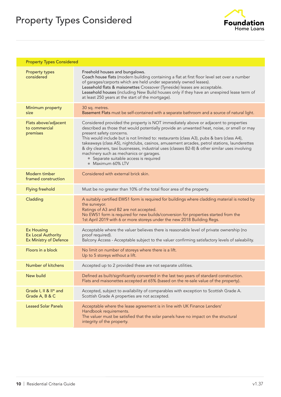# Property Types Considered



| <b>Property Types Considered</b>                                                |                                                                                                                                                                                                                                                                                                                                                                                                                                                                                                                                                                                                                       |
|---------------------------------------------------------------------------------|-----------------------------------------------------------------------------------------------------------------------------------------------------------------------------------------------------------------------------------------------------------------------------------------------------------------------------------------------------------------------------------------------------------------------------------------------------------------------------------------------------------------------------------------------------------------------------------------------------------------------|
| <b>Property types</b><br>considered                                             | Freehold houses and bungalows.<br>Coach house flats (modern building containing a flat at first floor level set over a number<br>of garages/carports which are held under separately owned leases).<br>Leasehold flats & maisonettes Crossover (Tyneside) leases are acceptable.<br>Leasehold houses (including New Build houses only if they have an unexpired lease term of<br>at least 250 years at the start of the mortgage).                                                                                                                                                                                    |
| Minimum property<br>size                                                        | 30 sq. metres.<br>Basement Flats must be self-contained with a separate bathroom and a source of natural light.                                                                                                                                                                                                                                                                                                                                                                                                                                                                                                       |
| Flats above/adjacent<br>to commercial<br>premises                               | Considered provided the property is NOT immediately above or adjacent to properties<br>described as those that would potentially provide an unwanted heat, noise, or smell or may<br>present safety concerns.<br>This would include but is not limited to: restaurants (class A3), pubs & bars (class A4),<br>takeaways (class A5), nightclubs, casinos, amusement arcades, petrol stations, launderettes<br>& dry cleaners, taxi businesses, industrial uses (classes B2-8) & other similar uses involving<br>machinery such as mechanics or garages.<br>• Separate suitable access is required<br>• Maximum 60% LTV |
| Modern timber<br>framed construction                                            | Considered with external brick skin.                                                                                                                                                                                                                                                                                                                                                                                                                                                                                                                                                                                  |
| <b>Flying freehold</b>                                                          | Must be no greater than 10% of the total floor area of the property.                                                                                                                                                                                                                                                                                                                                                                                                                                                                                                                                                  |
| Cladding                                                                        | A suitably certified EWS1 form is required for buildings where cladding material is noted by<br>the surveyor.<br>Ratings of A3 and B2 are not accepted.<br>No EWS1 form is required for new builds/conversion for properties started from the<br>1st April 2019 with 6 or more storeys under the new 2018 Building Regs.                                                                                                                                                                                                                                                                                              |
| <b>Ex Housing</b><br><b>Ex Local Authority</b><br><b>Ex Ministry of Defence</b> | Acceptable where the valuer believes there is reasonable level of private ownership (no<br>proof required).<br>Balcony Access - Acceptable subject to the valuer confirming satisfactory levels of saleability.                                                                                                                                                                                                                                                                                                                                                                                                       |
| Floors in a block                                                               | No limit on number of storeys where there is a lift.<br>Up to 5 storeys without a lift.                                                                                                                                                                                                                                                                                                                                                                                                                                                                                                                               |
| Number of kitchens                                                              | Accepted up to 2 provided these are not separate utilities.                                                                                                                                                                                                                                                                                                                                                                                                                                                                                                                                                           |
| <b>New build</b>                                                                | Defined as built/significantly converted in the last two years of standard construction.<br>Flats and maisonettes accepted at 65% (based on the re-sale value of the property).                                                                                                                                                                                                                                                                                                                                                                                                                                       |
| Grade I, II & II* and<br>Grade A, B & C                                         | Accepted, subject to availability of comparables with exception to Scottish Grade A.<br>Scottish Grade A properties are not accepted.                                                                                                                                                                                                                                                                                                                                                                                                                                                                                 |
| <b>Leased Solar Panels</b>                                                      | Acceptable where the lease agreement is in line with UK Finance Lenders'<br>Handbook requirements.<br>The valuer must be satisfied that the solar panels have no impact on the structural<br>integrity of the property.                                                                                                                                                                                                                                                                                                                                                                                               |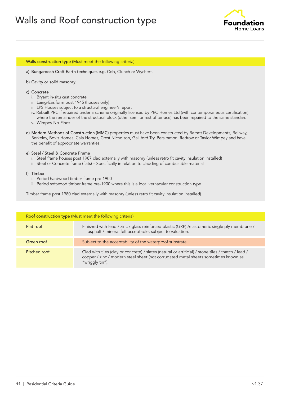

#### Walls construction type (Must meet the following criteria)

- a) Bungaroosh Craft Earth techniques e.g. Cob, Clunch or Wychert.
- b) Cavity or solid masonry.
- c) Concrete
	- i. Bryant in-situ cast concrete
	- ii. Laing-Easiform post 1945 (houses only)
	- iii. LPS Houses subject to a structural engineer's report
	- iv. Rebuilt PRC if repaired under a scheme originally licensed by PRC Homes Ltd (with contemporaneous certification) where the remainder of the structural block (other semi or rest of terrace) has been repaired to the same standard
	- v. Wimpey No-Fines
- d) Modern Methods of Construction (MMC) properties must have been constructed by Barratt Developments, Bellway, Berkeley, Bovis Homes, Cala Homes, Crest Nicholson, Galliford Try, Persimmon, Redrow or Taylor Wimpey and have the benefit of appropriate warranties.

#### e) Steel / Steel & Concrete Frame

- i. Steel frame houses post 1987 clad externally with masonry (unless retro fit cavity insulation installed)
- ii. Steel or Concrete frame (flats) Specifically in relation to cladding of combustible material

#### f) Timber

- i. Period hardwood timber frame pre-1900
- ii. Period softwood timber frame pre-1900 where this is a local vernacular construction type

Timber frame post 1980 clad externally with masonry (unless retro fit cavity insulation installed).

| Roof construction type (Must meet the following criteria) |                                                                                                                                                                                                              |
|-----------------------------------------------------------|--------------------------------------------------------------------------------------------------------------------------------------------------------------------------------------------------------------|
| Flat roof                                                 | Finished with lead / zinc / glass reinforced plastic (GRP) / elastomeric single ply membrane /<br>asphalt / mineral felt acceptable, subject to valuation.                                                   |
| Green roof                                                | Subject to the acceptability of the waterproof substrate.                                                                                                                                                    |
| Pitched roof                                              | Clad with tiles (clay or concrete) / slates (natural or artificial) / stone tiles / thatch / lead /<br>copper / zinc / modern steel sheet (not corrugated metal sheets sometimes known as<br>"wriggly tin"). |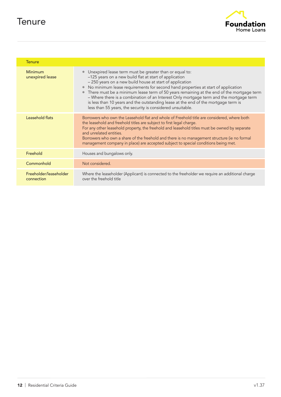## **Tenure**



| <b>Tenure</b>                        |                                                                                                                                                                                                                                                                                                                                                                                                                                                                                                                                                                                                                                        |
|--------------------------------------|----------------------------------------------------------------------------------------------------------------------------------------------------------------------------------------------------------------------------------------------------------------------------------------------------------------------------------------------------------------------------------------------------------------------------------------------------------------------------------------------------------------------------------------------------------------------------------------------------------------------------------------|
| Minimum<br>unexpired lease           | • Unexpired lease term must be greater than or equal to:<br>-125 years on a new build flat at start of application<br>- 250 years on a new build house at start of application<br>No minimum lease requirements for second hand properties at start of application<br>$\bullet$<br>There must be a minimum lease term of 50 years remaining at the end of the mortgage term<br>$\bullet$<br>- Where there is a combination of an Interest Only mortgage term and the mortgage term<br>is less than 10 years and the outstanding lease at the end of the mortgage term is<br>less than 55 years, the security is considered unsuitable. |
| Leasehold flats                      | Borrowers who own the Leasehold flat and whole of Freehold title are considered, where both<br>the leasehold and freehold titles are subject to first legal charge.<br>For any other leasehold property, the freehold and leasehold titles must be owned by separate<br>and unrelated entities.<br>Borrowers who own a share of the freehold and there is no management structure (ie no formal<br>management company in place) are accepted subject to special conditions being met.                                                                                                                                                  |
| Freehold                             | Houses and bungalows only.                                                                                                                                                                                                                                                                                                                                                                                                                                                                                                                                                                                                             |
| Commonhold                           | Not considered.                                                                                                                                                                                                                                                                                                                                                                                                                                                                                                                                                                                                                        |
| Freeholder/leaseholder<br>connection | Where the leaseholder (Applicant) is connected to the freeholder we require an additional charge<br>over the freehold title                                                                                                                                                                                                                                                                                                                                                                                                                                                                                                            |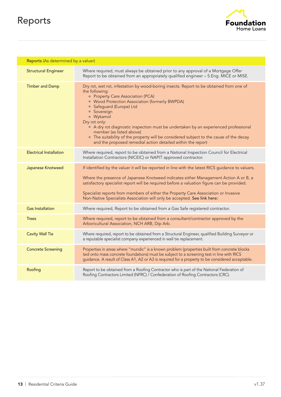# Reports



| Reports (As determined by a valuer) |                                                                                                                                                                                                                                                                                                                                                                                                                                                                                                                                                     |
|-------------------------------------|-----------------------------------------------------------------------------------------------------------------------------------------------------------------------------------------------------------------------------------------------------------------------------------------------------------------------------------------------------------------------------------------------------------------------------------------------------------------------------------------------------------------------------------------------------|
| <b>Structural Engineer</b>          | Where required, must always be obtained prior to any approval of a Mortgage Offer<br>Report to be obtained from an appropriately qualified engineer - S.Eng. MICE or MISE.                                                                                                                                                                                                                                                                                                                                                                          |
| <b>Timber and Damp</b>              | Dry rot, wet rot, infestation by wood-boring insects. Report to be obtained from one of<br>the following:<br>• Property Care Association (PCA)<br>• Wood Protection Association (formerly BWPDA)<br>• Safeguard (Europe) Ltd<br>• Sovereign<br>• Wykamol<br>Dry rot only:<br>A dry rot diagnostic inspection must be undertaken by an experienced professional<br>member (as listed above)<br>• The suitability of the property will be considered subject to the cause of the decay<br>and the proposed remedial action detailed within the report |
| <b>Electrical Installation</b>      | Where required, report to be obtained from a National Inspection Council for Electrical<br>Installation Contractors (NICEIC) or NAPIT approved contractor.                                                                                                                                                                                                                                                                                                                                                                                          |
| Japanese Knotweed                   | If identified by the valuer it will be reported in line with the latest RICS guidance to valuers.<br>Where the presence of Japanese Knotweed indicates either Management Action A or B, a<br>satisfactory specialist report will be required before a valuation figure can be provided.<br>Specialist reports from members of either the Property Care Association or Invasive<br>Non-Native Specialists Association will only be accepted. See link here:                                                                                          |
| <b>Gas Installation</b>             | Where required, Report to be obtained from a Gas Safe registered contractor.                                                                                                                                                                                                                                                                                                                                                                                                                                                                        |
| <b>Trees</b>                        | Where required, report to be obtained from a consultant/contractor approved by the<br>Arboricultural Association, NCH ARB, Dip Arb.                                                                                                                                                                                                                                                                                                                                                                                                                 |
| <b>Cavity Wall Tie</b>              | Where required, report to be obtained from a Structural Engineer, qualified Building Surveyor or<br>a reputable specialist company experienced in wall tie replacement.                                                                                                                                                                                                                                                                                                                                                                             |
| <b>Concrete Screening</b>           | Properties in areas where "mundic" is a known problem (properties built from concrete blocks<br>laid onto mass concrete foundations) must be subject to a screening test in line with RICS<br>guidance. A result of Class A1, A2 or A3 is required for a property to be considered acceptable.                                                                                                                                                                                                                                                      |
| Roofing                             | Report to be obtained from a Roofing Contractor who is part of the National Federation of<br>Roofing Contractors Limited (NFRC) / Confederation of Roofing Contractors (CRC).                                                                                                                                                                                                                                                                                                                                                                       |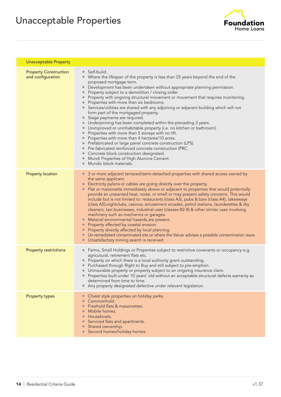# Unacceptable Properties



| <b>Unacceptable Property</b>                      |                                                                                                                                                                                                                                                                                                                                                                                                                                                                                                                                                                                                                                                                                                                                                                                                                                                                                                                                                                                                                                                                                                                                                        |
|---------------------------------------------------|--------------------------------------------------------------------------------------------------------------------------------------------------------------------------------------------------------------------------------------------------------------------------------------------------------------------------------------------------------------------------------------------------------------------------------------------------------------------------------------------------------------------------------------------------------------------------------------------------------------------------------------------------------------------------------------------------------------------------------------------------------------------------------------------------------------------------------------------------------------------------------------------------------------------------------------------------------------------------------------------------------------------------------------------------------------------------------------------------------------------------------------------------------|
| <b>Property Construction</b><br>and configuration | Self-build.<br>$\bullet$<br>Where the lifespan of the property is less than 25 years beyond the end of the<br>proposed mortgage term.<br>Development has been undertaken without appropriate planning permission.<br>$\bullet$<br>Property subject to a demolition / closing order.<br>Property with ongoing structural movement or movement that requires monitoring.<br>Properties with more than six bedrooms.<br>Services/utilities are shared with any adjoining or adjacent building which will not<br>form part of the mortgaged property.<br>Stage payments are required.<br>$\bullet$<br>Underpinning has been completed within the preceding 3 years.<br>Unimproved or uninhabitable property (i.e. no kitchen or bathroom).<br>Properties with more than 5 storeys with no lift.<br>$\bullet$<br>Properties with more than 4 hectares/10 acres.<br>$\bullet$<br>Prefabricated or large panel concrete construction (LPS).<br>$\bullet$<br>Pre-fabricated reinforced concrete construction (PRC.<br>Concrete block construction designated.<br>Mundi Properties of High Alumina Cement.<br>$\bullet$<br>Mundic block materials.<br>$\bullet$ |
| <b>Property location</b>                          | 3 or more adjacent terraced/semi-detached properties with shared access owned by<br>$\bullet$<br>the same applicant.<br>Electricity pylons or cables are going directly over the property.<br>Flat or maisonette immediately above or adjacent to properties that would potentially<br>$\bullet$<br>provide an unwanted heat, noise, or smell or may present safety concerns. This would<br>include but is not limited to: restaurants (class A3), pubs & bars (class A4), takeaways<br>(class A5), nightclubs, casinos, amusement arcades, petrol stations, launderettes & dry<br>cleaners, taxi businesses, industrial uses (classes B2-8) & other similar uses involving<br>machinery such as mechanics or garages.<br>Material environmental hazards are present.<br>$\bullet$<br>Property affected by coastal erosion.<br>Property directly affected by local planning.<br>Un-remediated contaminated site or where the Valuer advises a possible contamination issue.<br>Unsatisfactory mining search is received.<br>$\bullet$                                                                                                                  |
| <b>Property restrictions</b>                      | Farms, Small Holdings or Properties subject to restrictive covenants or occupancy e.g.<br>agricutural, retirement flats etc.<br>Property on which there is a local authority grant outstanding.<br>Purchased through Right to Buy and still subject to pre-emption.<br>Uninsurable property or property subject to an ongoing insurance claim.<br>Properties built under 10 years' old without an acceptable structural defects warranty as<br>determined from time to time.<br>Any property designated defective under relevant legislation.                                                                                                                                                                                                                                                                                                                                                                                                                                                                                                                                                                                                          |
| <b>Property types</b>                             | Chalet style properties on holiday parks.<br>$\bullet$<br>Commonhold.<br>Freehold flats & maisonettes.<br>Mobile homes.<br>$\bullet$<br>Houseboats.<br>Serviced flats and apartments.<br>Shared ownership.<br>Second homes/holiday homes.<br>$\bullet$                                                                                                                                                                                                                                                                                                                                                                                                                                                                                                                                                                                                                                                                                                                                                                                                                                                                                                 |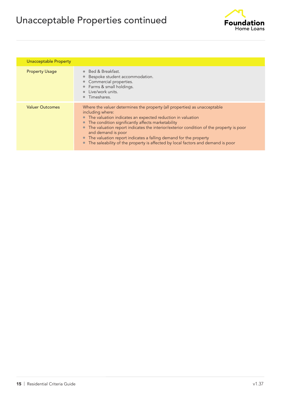# Unacceptable Properties continued



| Unacceptable Property  |                                                                                                                                                                                                                                                                                                                                                                                                                                                                                             |
|------------------------|---------------------------------------------------------------------------------------------------------------------------------------------------------------------------------------------------------------------------------------------------------------------------------------------------------------------------------------------------------------------------------------------------------------------------------------------------------------------------------------------|
| <b>Property Usage</b>  | • Bed & Breakfast.<br>Bespoke student accommodation.<br>Commercial properties.<br>Farms & small holdings.<br>Live/work units.<br>Timeshares.                                                                                                                                                                                                                                                                                                                                                |
| <b>Valuer Outcomes</b> | Where the valuer determines the property (all properties) as unacceptable<br>including where:<br>• The valuation indicates an expected reduction in valuation<br>The condition significantly affects marketability<br>The valuation report indicates the interior/exterior condition of the property is poor<br>and demand is poor<br>• The valuation report indicates a falling demand for the property<br>The saleability of the property is affected by local factors and demand is poor |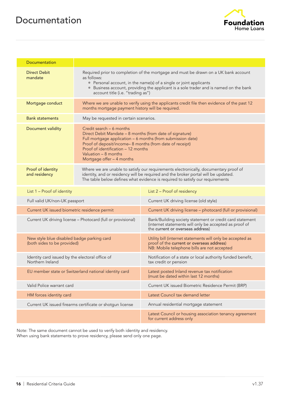### Documentation



| <b>Documentation</b>                                                      |                                                                                                                                                                                                                                                                                                            |                                                                                                                                                                                                                                                             |
|---------------------------------------------------------------------------|------------------------------------------------------------------------------------------------------------------------------------------------------------------------------------------------------------------------------------------------------------------------------------------------------------|-------------------------------------------------------------------------------------------------------------------------------------------------------------------------------------------------------------------------------------------------------------|
| <b>Direct Debit</b><br>mandate                                            | as follows:<br>account title (i.e. "trading as")                                                                                                                                                                                                                                                           | Required prior to completion of the mortgage and must be drawn on a UK bank account<br>• Personal account, in the name(s) of a single or joint applicants<br>• Business account, providing the applicant is a sole trader and is named on the bank          |
| Mortgage conduct                                                          | months mortgage payment history will be required.                                                                                                                                                                                                                                                          | Where we are unable to verify using the applicants credit file then evidence of the past 12                                                                                                                                                                 |
| <b>Bank statements</b>                                                    | May be requested in certain scenarios.                                                                                                                                                                                                                                                                     |                                                                                                                                                                                                                                                             |
| Document validity                                                         | Credit search - 6 months<br>Direct Debit Mandate - 8 months (from date of signature)<br>Full mortgage application - 6 months (from submission date)<br>Proof of deposit/income-8 months (from date of receipt)<br>Proof of identification - 12 months<br>Valuation - 8 months<br>Mortgage offer - 4 months |                                                                                                                                                                                                                                                             |
| Proof of identity<br>and residency                                        |                                                                                                                                                                                                                                                                                                            | Where we are unable to satisfy our requirements electronically, documentary proof of<br>identity, and or residency will be required and the broker portal will be updated.<br>The table below defines what evidence is required to satisfy our requirements |
| List 1 - Proof of identity                                                |                                                                                                                                                                                                                                                                                                            | List 2 - Proof of residency                                                                                                                                                                                                                                 |
| Full valid UK/non-UK passport                                             |                                                                                                                                                                                                                                                                                                            | Current UK driving license (old style)                                                                                                                                                                                                                      |
| Current UK issued biometric residence permit                              |                                                                                                                                                                                                                                                                                                            | Current UK driving license - photocard (full or provisional)                                                                                                                                                                                                |
| Current UK driving license - Photocard (full or provisional)              |                                                                                                                                                                                                                                                                                                            | Bank/Building society statement or credit card statement<br>(internet statements will only be accepted as proof of<br>the current or overseas address)                                                                                                      |
| New style blue disabled badge parking card<br>(both sides to be provided) |                                                                                                                                                                                                                                                                                                            | Utility bill (internet statements will only be accepted as<br>proof of the current or overseas address)<br>NB: Mobile telephone bills are not accepted                                                                                                      |
| Identity card issued by the electoral office of<br>Northern Ireland       |                                                                                                                                                                                                                                                                                                            | Notification of a state or local authority funded benefit,<br>tax credit or pension                                                                                                                                                                         |
|                                                                           | EU member state or Switzerland national identity card                                                                                                                                                                                                                                                      | Latest posted Inland revenue tax notification<br>(must be dated within last 12 months)                                                                                                                                                                      |
| Valid Police warrant card                                                 |                                                                                                                                                                                                                                                                                                            | Current UK issued Biometric Residence Permit (BRP)                                                                                                                                                                                                          |
| HM forces identity card                                                   |                                                                                                                                                                                                                                                                                                            | Latest Council tax demand letter                                                                                                                                                                                                                            |
|                                                                           | Current UK issued firearms certificate or shotgun license                                                                                                                                                                                                                                                  | Annual residential mortgage statement                                                                                                                                                                                                                       |
|                                                                           |                                                                                                                                                                                                                                                                                                            | Latest Council or housing association tenancy agreement<br>for current address only                                                                                                                                                                         |

Note: The same document cannot be used to verify both identity and residency. When using bank statements to prove residency, please send only one page.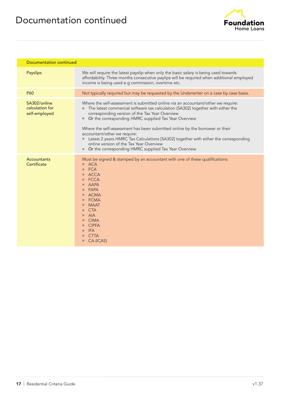

| Documentation continued                          |                                                                                                                                                                                                                                                                                                                                                                                                                                                                                                                                                                                          |
|--------------------------------------------------|------------------------------------------------------------------------------------------------------------------------------------------------------------------------------------------------------------------------------------------------------------------------------------------------------------------------------------------------------------------------------------------------------------------------------------------------------------------------------------------------------------------------------------------------------------------------------------------|
| Payslips                                         | We will require the latest payslip when only the basic salary is being used towards<br>affordability. Three months consecutive paylips will be required when additional employed<br>income is being used e.g commission, overtime etc.                                                                                                                                                                                                                                                                                                                                                   |
| <b>P60</b>                                       | Not typically required but may be requested by the Underwriter on a case by case basis.                                                                                                                                                                                                                                                                                                                                                                                                                                                                                                  |
| SA302/online<br>calculation for<br>self-employed | Where the self-assessment is submitted online via an accountant/other we require:<br>The latest commercial software tax calculation (SA302) together with either the<br>corresponding version of the Tax Year Overview<br>Or the corresponding HMRC supplied Tax Year Overview<br>Where the self-assessment has been submitted online by the borrower or their<br>accountant/other we require:<br>Latest 2 years HMRC Tax Calculations [SA302] together with either the corresponding<br>online version of the Tax Year Overview<br>Or the corresponding HMRC supplied Tax Year Overview |
| Accountants<br>Certificate                       | Must be signed & stamped by an accountant with one of these qualifications:<br><b>ACA</b><br><b>FCA</b><br><b>ACCA</b><br><b>FCCA</b><br><b>AAPA</b><br><b>FAPA</b><br><b>ACMA</b><br><b>FCMA</b><br><b>MAAT</b><br><b>CTA</b><br><b>AIA</b><br><b>CIMA</b><br><b>CIPFA</b><br><b>IFA</b><br><b>CTTA</b><br>CA (ICAS)                                                                                                                                                                                                                                                                    |